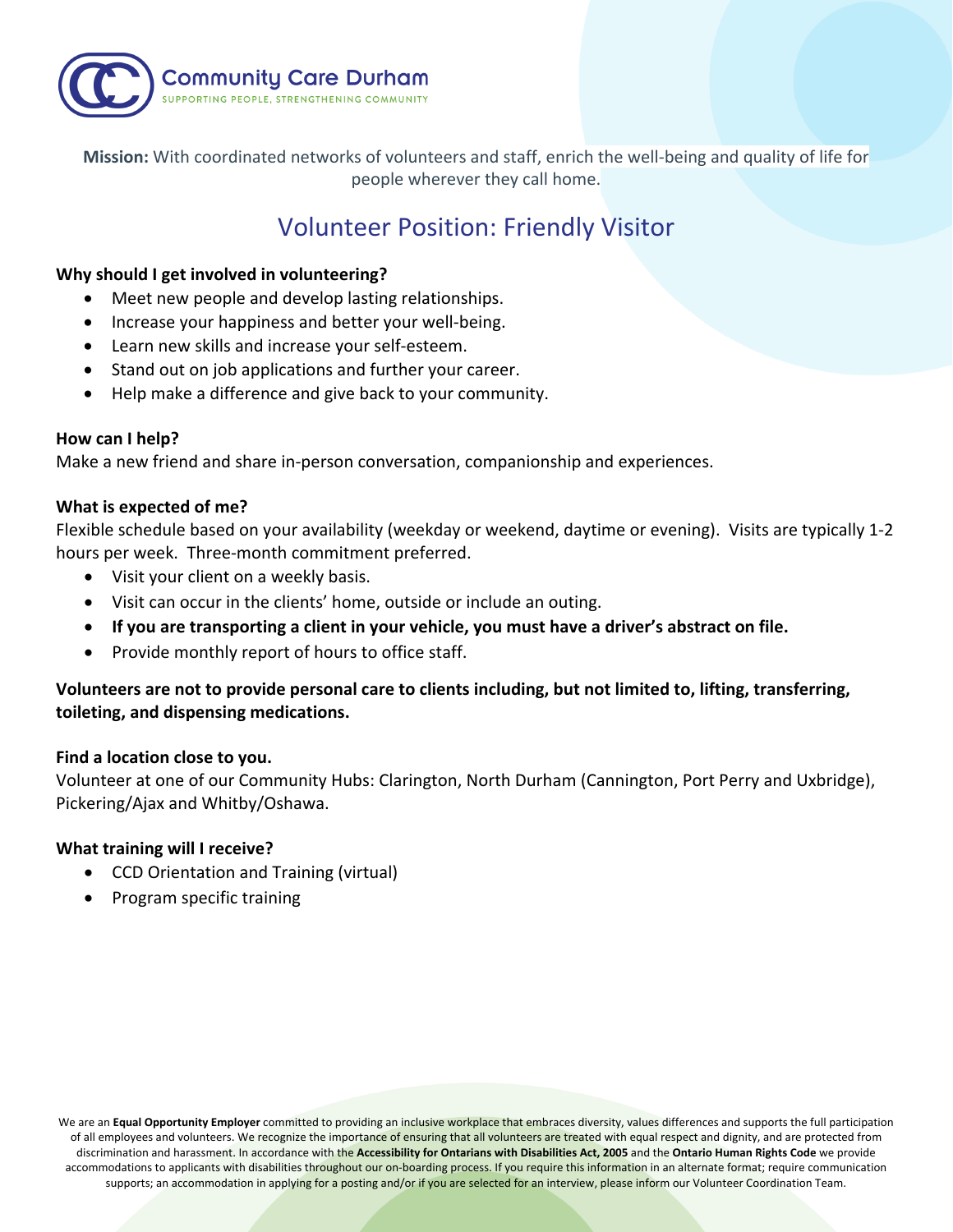

**Mission:** With coordinated networks of volunteers and staff, enrich the well-being and quality of life for people wherever they call home.

# Volunteer Position: Friendly Visitor

## **Why should I get involved in volunteering?**

- Meet new people and develop lasting relationships.
- Increase your happiness and better your well-being.
- Learn new skills and increase your self-esteem.
- Stand out on job applications and further your career.
- Help make a difference and give back to your community.

## **How can I help?**

Make a new friend and share in-person conversation, companionship and experiences.

## **What is expected of me?**

Flexible schedule based on your availability (weekday or weekend, daytime or evening). Visits are typically 1-2 hours per week. Three-month commitment preferred.

- Visit your client on a weekly basis.
- Visit can occur in the clients' home, outside or include an outing.
- **If you are transporting a client in your vehicle, you must have a driver's abstract on file.**
- Provide monthly report of hours to office staff.

## **Volunteers are not to provide personal care to clients including, but not limited to, lifting, transferring, toileting, and dispensing medications.**

## **Find a location close to you.**

Volunteer at one of our Community Hubs: Clarington, North Durham (Cannington, Port Perry and Uxbridge), Pickering/Ajax and Whitby/Oshawa.

## **What training will I receive?**

- CCD Orientation and Training (virtual)
- Program specific training

We are an **Equal Opportunity Employer** committed to providing an inclusive workplace that embraces diversity, values differences and supports the full participation of all employees and volunteers. We recognize the importance of ensuring that all volunteers are treated with equal respect and dignity, and are protected from discrimination and harassment. In accordance with the **Accessibility for Ontarians with Disabilities Act, 2005** and the **Ontario Human Rights Code** we provide accommodations to applicants with disabilities throughout our on-boarding process. If you require this information in an alternate format; require communication supports; an accommodation in applying for a posting and/or if you are selected for an interview, please inform our Volunteer Coordination Team.